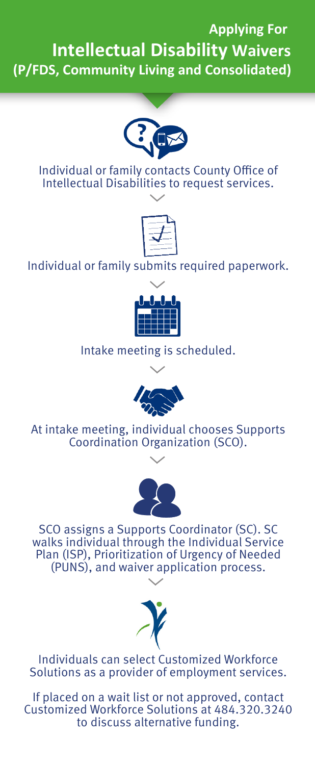## **Applying For Intellectual Disability Waivers (P/FDS, Community Living and Consolidated)**



Individual or family contacts County Office of Intellectual Disabilities to request services.



### Individual or family submits required paperwork.



Intake meeting is scheduled.



At intake meeting, individual chooses Supports Coordination Organization (SCO).



SCO assigns a Supports Coordinator (SC). SC walks individual through the Individual Service Plan (ISP), Prioritization of Urgency of Needed (PUNS), and waiver application process.



Individuals can select Customized Workforce Solutions as a provider of employment services.

If placed on a wait list or not approved, contact Customized Workforce Solutions at 484.320.3240 to discuss alternative funding.